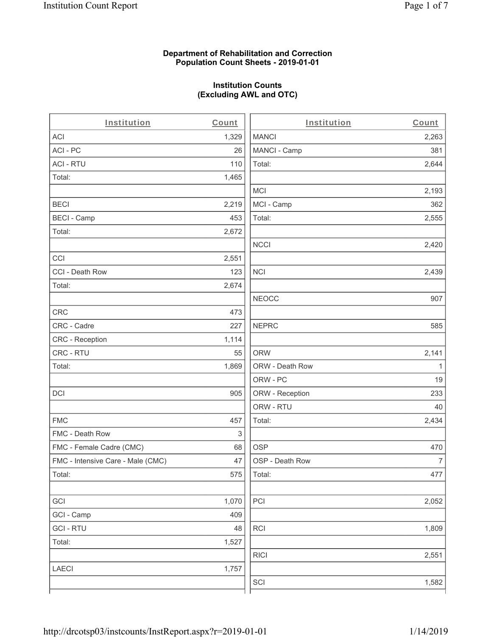#### **Department of Rehabilitation and Correction Population Count Sheets - 2019-01-01**

## **Institution Counts (Excluding AWL and OTC)**

 $\overline{a}$ 

| Institution                       | Count | Institution     | Count        |
|-----------------------------------|-------|-----------------|--------------|
| <b>ACI</b>                        | 1,329 | <b>MANCI</b>    | 2,263        |
| ACI-PC                            | 26    | MANCI - Camp    | 381          |
| <b>ACI - RTU</b>                  | 110   | Total:          | 2,644        |
| Total:                            | 1,465 |                 |              |
|                                   |       | <b>MCI</b>      | 2,193        |
| <b>BECI</b>                       | 2,219 | MCI - Camp      | 362          |
| <b>BECI - Camp</b>                | 453   | Total:          | 2,555        |
| Total:                            | 2,672 |                 |              |
|                                   |       | <b>NCCI</b>     | 2,420        |
| CCI                               | 2,551 |                 |              |
| CCI - Death Row                   | 123   | <b>NCI</b>      | 2,439        |
| Total:                            | 2,674 |                 |              |
|                                   |       | <b>NEOCC</b>    | 907          |
| <b>CRC</b>                        | 473   |                 |              |
| CRC - Cadre                       | 227   | <b>NEPRC</b>    | 585          |
| CRC - Reception                   | 1,114 |                 |              |
| CRC - RTU                         | 55    | <b>ORW</b>      | 2,141        |
| Total:                            | 1,869 | ORW - Death Row | $\mathbf{1}$ |
|                                   |       | ORW - PC        | 19           |
| DCI                               | 905   | ORW - Reception | 233          |
|                                   |       | ORW - RTU       | 40           |
| <b>FMC</b>                        | 457   | Total:          | 2,434        |
| FMC - Death Row                   | 3     |                 |              |
| FMC - Female Cadre (CMC)          | 68    | <b>OSP</b>      | 470          |
| FMC - Intensive Care - Male (CMC) | 47    | OSP - Death Row | 7            |
| Total:                            | 575   | Total:          | 477          |
|                                   |       |                 |              |
| GCI                               | 1,070 | PCI             | 2,052        |
| GCI - Camp                        | 409   |                 |              |
| <b>GCI-RTU</b>                    | 48    | <b>RCI</b>      | 1,809        |
| Total:                            | 1,527 |                 |              |
|                                   |       | <b>RICI</b>     | 2,551        |
| <b>LAECI</b>                      | 1,757 |                 |              |
|                                   |       | SCI             | 1,582        |
|                                   |       |                 |              |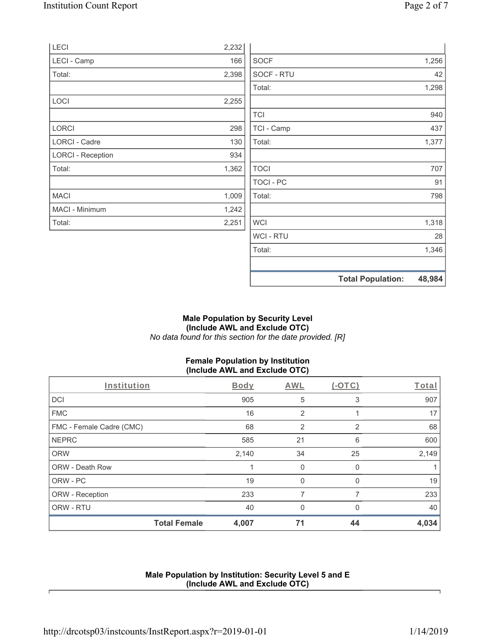| LECI                     | 2,232 |                |                          |        |
|--------------------------|-------|----------------|--------------------------|--------|
| LECI - Camp              | 166   | <b>SOCF</b>    |                          | 1,256  |
| Total:                   | 2,398 | SOCF - RTU     |                          | 42     |
|                          |       | Total:         |                          | 1,298  |
| LOCI                     | 2,255 |                |                          |        |
|                          |       | <b>TCI</b>     |                          | 940    |
| <b>LORCI</b>             | 298   | TCI - Camp     |                          | 437    |
| LORCI - Cadre            | 130   | Total:         |                          | 1,377  |
| <b>LORCI - Reception</b> | 934   |                |                          |        |
| Total:                   | 1,362 | <b>TOCI</b>    |                          | 707    |
|                          |       | TOCI - PC      |                          | 91     |
| <b>MACI</b>              | 1,009 | Total:         |                          | 798    |
| <b>MACI - Minimum</b>    | 1,242 |                |                          |        |
| Total:                   | 2,251 | WCI            |                          | 1,318  |
|                          |       | <b>WCI-RTU</b> |                          | 28     |
|                          |       | Total:         |                          | 1,346  |
|                          |       |                | <b>Total Population:</b> | 48,984 |

#### **Male Population by Security Level (Include AWL and Exclude OTC)**  *No data found for this section for the date provided. [R]*

# **Female Population by Institution (Include AWL and Exclude OTC)**

| Institution              |                     | Body  | AWL            | $(-OTC)$ | Total |
|--------------------------|---------------------|-------|----------------|----------|-------|
| <b>DCI</b>               |                     | 905   | 5              | 3        | 907   |
| <b>FMC</b>               |                     | 16    | 2              |          | 17    |
| FMC - Female Cadre (CMC) |                     | 68    | $\overline{2}$ | 2        | 68    |
| <b>NEPRC</b>             |                     | 585   | 21             | 6        | 600   |
| <b>ORW</b>               |                     | 2,140 | 34             | 25       | 2,149 |
| <b>ORW - Death Row</b>   |                     |       | $\mathbf{0}$   | 0        |       |
| ORW - PC                 |                     | 19    | $\Omega$       | O        | 19    |
| ORW - Reception          |                     | 233   | 7              | 7        | 233   |
| ORW - RTU                |                     | 40    | $\Omega$       | 0        | 40    |
|                          | <b>Total Female</b> | 4,007 | 71             | 44       | 4,034 |

### **Male Population by Institution: Security Level 5 and E (Include AWL and Exclude OTC)**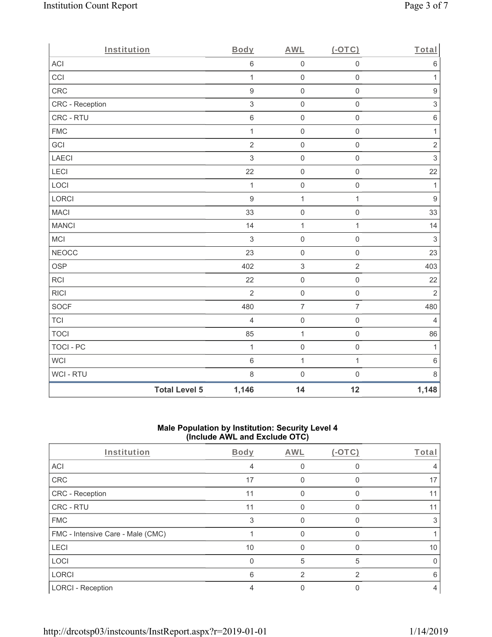| Institution      |                      | Body             | <b>AWL</b>          | (OTC)               | Total                     |
|------------------|----------------------|------------------|---------------------|---------------------|---------------------------|
| ACI              |                      | $\,6\,$          | $\mathsf{O}\xspace$ | $\mathsf 0$         | $\,6\,$                   |
| CCI              |                      | $\mathbf{1}$     | $\mathsf{O}\xspace$ | $\mathsf{O}\xspace$ | $\mathbf{1}$              |
| CRC              |                      | $\boldsymbol{9}$ | $\mathsf{O}\xspace$ | $\mathsf{O}\xspace$ | $\boldsymbol{9}$          |
| CRC - Reception  |                      | $\,$ 3 $\,$      | $\mathsf{O}\xspace$ | $\mathsf 0$         | $\ensuremath{\mathsf{3}}$ |
| CRC - RTU        |                      | $\,$ 6 $\,$      | $\mathsf{O}$        | $\mathsf{O}\xspace$ | $\,6\,$                   |
| <b>FMC</b>       |                      | $\mathbf{1}$     | $\mathsf{O}\xspace$ | $\mathsf{O}\xspace$ | $\mathbf{1}$              |
| GCI              |                      | $\overline{2}$   | $\mathbf 0$         | $\mathsf{O}\xspace$ | $\sqrt{2}$                |
| LAECI            |                      | $\mathfrak{S}$   | $\mathsf{O}\xspace$ | $\mathbf 0$         | $\mathfrak{S}$            |
| LECI             |                      | 22               | $\mathsf{O}$        | $\mathsf 0$         | 22                        |
| LOCI             |                      | $\mathbf{1}$     | $\mathsf{O}\xspace$ | $\mathsf{O}\xspace$ | $\mathbf{1}$              |
| LORCI            |                      | $\overline{9}$   | $\mathbf 1$         | $\mathbf{1}$        | $\boldsymbol{9}$          |
| <b>MACI</b>      |                      | 33               | $\mathsf{O}\xspace$ | $\mathbf 0$         | 33                        |
| <b>MANCI</b>     |                      | 14               | $\mathbf 1$         | $\mathbf{1}$        | 14                        |
| MCI              |                      | $\sqrt{3}$       | $\mathbf 0$         | $\mathsf 0$         | $\ensuremath{\mathsf{3}}$ |
| <b>NEOCC</b>     |                      | 23               | $\mathsf{O}$        | $\mathbf 0$         | 23                        |
| <b>OSP</b>       |                      | 402              | $\,$ 3 $\,$         | $\overline{c}$      | 403                       |
| RCI              |                      | 22               | $\mathsf{O}\xspace$ | $\mathsf{O}\xspace$ | 22                        |
| <b>RICI</b>      |                      | $\overline{2}$   | $\mathsf{O}\xspace$ | $\mathsf 0$         | $\overline{2}$            |
| SOCF             |                      | 480              | $\overline{7}$      | $\overline{7}$      | 480                       |
| <b>TCI</b>       |                      | $\overline{4}$   | $\mathsf{O}\xspace$ | $\mathsf{O}\xspace$ | $\overline{4}$            |
| <b>TOCI</b>      |                      | 85               | $\mathbf 1$         | $\mathsf 0$         | 86                        |
| <b>TOCI - PC</b> |                      | $\mathbf{1}$     | $\mathsf{O}\xspace$ | $\mathsf{O}\xspace$ | $\mathbf{1}$              |
| WCI              |                      | $\,$ 6 $\,$      | $\mathbf 1$         | $\mathbf{1}$        | $\,6\,$                   |
| WCI - RTU        |                      | $\,8\,$          | $\mathsf{O}\xspace$ | $\mathsf{O}\xspace$ | $\,8\,$                   |
|                  | <b>Total Level 5</b> | 1,146            | 14                  | 12                  | 1,148                     |

## **Male Population by Institution: Security Level 4 (Include AWL and Exclude OTC)**

| Institution                       | Body | <b>AWL</b> | $(-OTC)$ | Total |
|-----------------------------------|------|------------|----------|-------|
| <b>ACI</b>                        | 4    |            | 0        |       |
| CRC                               | 17   |            | O        | 17    |
| CRC - Reception                   | 11   |            | 0        |       |
| CRC - RTU                         | 11   |            |          |       |
| <b>FMC</b>                        | 3    |            | O        |       |
| FMC - Intensive Care - Male (CMC) |      |            | O        |       |
| <b>LECI</b>                       | 10   |            |          | 10    |
| LOCI                              | 0    | 5          | 5        |       |
| <b>LORCI</b>                      | 6    | 2          | 2        | ิค    |
| <b>LORCI - Reception</b>          |      |            |          | 4     |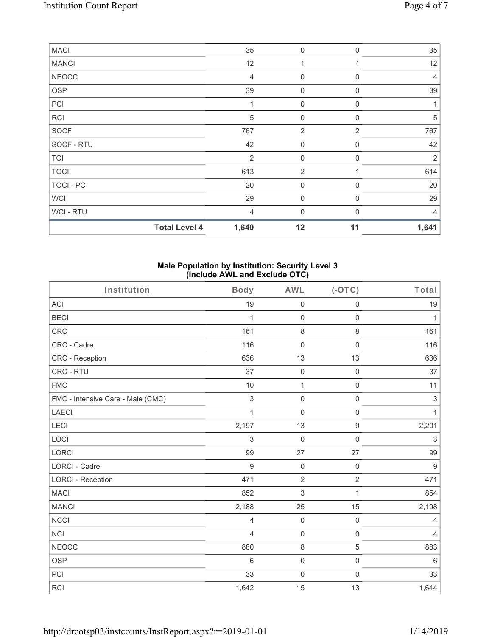| <b>MACI</b>      |                      | 35             | $\mathbf 0$         | $\Omega$       | 35             |
|------------------|----------------------|----------------|---------------------|----------------|----------------|
| <b>MANCI</b>     |                      | 12             |                     |                | 12             |
| <b>NEOCC</b>     |                      | $\overline{4}$ | $\mathbf 0$         | $\Omega$       | 4              |
| OSP              |                      | 39             | $\mathbf 0$         | $\mathbf 0$    | 39             |
| PCI              |                      |                | $\mathsf{O}\xspace$ | $\mathbf 0$    |                |
| RCI              |                      | 5              | $\mathbf 0$         | $\Omega$       | 5              |
| SOCF             |                      | 767            | 2                   | $\overline{2}$ | 767            |
| SOCF - RTU       |                      | 42             | $\mathbf 0$         | $\Omega$       | 42             |
| <b>TCI</b>       |                      | 2              | $\mathbf 0$         | $\Omega$       | $\overline{2}$ |
| <b>TOCI</b>      |                      | 613            | 2                   |                | 614            |
| <b>TOCI - PC</b> |                      | 20             | $\mathbf 0$         | $\Omega$       | 20             |
| WCI              |                      | 29             | $\mathbf 0$         | $\mathbf 0$    | 29             |
| WCI - RTU        |                      | 4              | $\mathbf{0}$        | $\Omega$       | 4              |
|                  | <b>Total Level 4</b> | 1,640          | 12                  | 11             | 1,641          |

## **Male Population by Institution: Security Level 3 (Include AWL and Exclude OTC)**

| Institution                       | <b>Body</b>    | <b>AWL</b>          | $(-OTC)$            | Total            |
|-----------------------------------|----------------|---------------------|---------------------|------------------|
| <b>ACI</b>                        | 19             | $\mathsf{O}\xspace$ | $\mathbf 0$         | 19               |
| <b>BECI</b>                       | 1              | $\mathsf 0$         | $\mathbf 0$         | 1                |
| <b>CRC</b>                        | 161            | 8                   | $\,8\,$             | 161              |
| CRC - Cadre                       | 116            | $\mathsf{O}\xspace$ | $\mathsf 0$         | 116              |
| <b>CRC</b> - Reception            | 636            | 13                  | 13                  | 636              |
| CRC - RTU                         | 37             | $\mathsf{O}\xspace$ | $\mathsf{O}\xspace$ | 37               |
| <b>FMC</b>                        | 10             | $\mathbf{1}$        | $\mathbf 0$         | 11               |
| FMC - Intensive Care - Male (CMC) | $\mathfrak{S}$ | $\mathsf 0$         | $\mathsf{O}\xspace$ | $\mathsf 3$      |
| <b>LAECI</b>                      | $\mathbf{1}$   | $\mathbf 0$         | $\mathbf 0$         | $\mathbf{1}$     |
| LECI                              | 2,197          | 13                  | $\boldsymbol{9}$    | 2,201            |
| LOCI                              | $\mathfrak{Z}$ | $\boldsymbol{0}$    | $\mathsf{O}\xspace$ | $\sqrt{3}$       |
| LORCI                             | 99             | 27                  | 27                  | 99               |
| LORCI - Cadre                     | $\overline{9}$ | $\mathbf 0$         | $\mathsf{O}\xspace$ | $\boldsymbol{9}$ |
| <b>LORCI - Reception</b>          | 471            | $\overline{2}$      | $\overline{2}$      | 471              |
| <b>MACI</b>                       | 852            | 3                   | 1                   | 854              |
| <b>MANCI</b>                      | 2,188          | 25                  | 15                  | 2,198            |
| <b>NCCI</b>                       | $\overline{4}$ | $\mathbf 0$         | $\mathbf 0$         | $\overline{4}$   |
| <b>NCI</b>                        | $\overline{4}$ | $\mathsf{O}\xspace$ | $\mathsf 0$         | 4                |
| <b>NEOCC</b>                      | 880            | $\,8\,$             | $\sqrt{5}$          | 883              |
| <b>OSP</b>                        | 6              | 0                   | $\mathsf 0$         | $\,6\,$          |
| PCI                               | 33             | $\mathbf 0$         | $\mathsf{O}\xspace$ | 33               |
| <b>RCI</b>                        | 1,642          | 15                  | 13                  | 1,644            |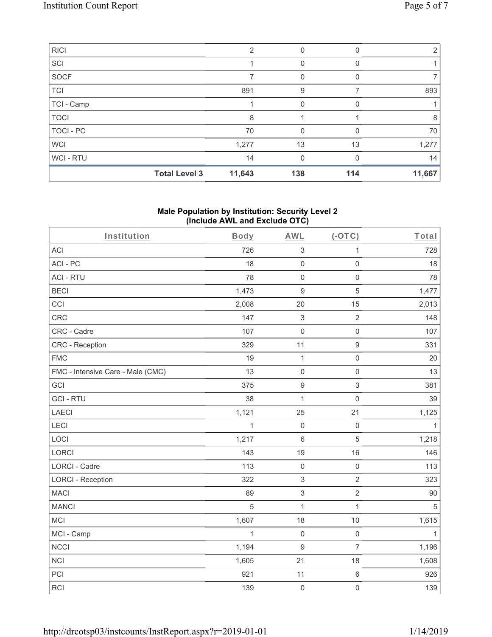| <b>RICI</b> |                      | $\mathfrak{D}$ | 0        | 0   | 2      |
|-------------|----------------------|----------------|----------|-----|--------|
| SCI         |                      |                |          |     |        |
| SOCF        |                      |                | 0        | 0   | 7      |
| <b>TCI</b>  |                      | 891            | 9        |     | 893    |
| TCI - Camp  |                      |                | U        |     |        |
| <b>TOCI</b> |                      | 8              |          |     | 8      |
| TOCI - PC   |                      | 70             | 0        | 0   | 70     |
| <b>WCI</b>  |                      | 1,277          | 13       | 13  | 1,277  |
| WCI-RTU     |                      | 14             | $\Omega$ | ∩   | 14     |
|             | <b>Total Level 3</b> | 11,643         | 138      | 114 | 11,667 |

#### **Male Population by Institution: Security Level 2 (Include AWL and Exclude OTC)**

| Institution                       | <b>Body</b>  | <b>AWL</b>       | $($ -OTC $)$        | Total        |
|-----------------------------------|--------------|------------------|---------------------|--------------|
| <b>ACI</b>                        | 726          | $\sqrt{3}$       | $\mathbf{1}$        | 728          |
| ACI-PC                            | 18           | $\mathsf 0$      | $\mathsf{O}\xspace$ | 18           |
| <b>ACI - RTU</b>                  | 78           | $\mathsf 0$      | $\mathsf{O}\xspace$ | 78           |
| <b>BECI</b>                       | 1,473        | $9\,$            | $\overline{5}$      | 1,477        |
| CCI                               | 2,008        | 20               | 15                  | 2,013        |
| CRC                               | 147          | $\sqrt{3}$       | $\overline{2}$      | 148          |
| CRC - Cadre                       | 107          | $\mathbf 0$      | $\mathsf{O}\xspace$ | 107          |
| CRC - Reception                   | 329          | 11               | $\boldsymbol{9}$    | 331          |
| <b>FMC</b>                        | 19           | $\mathbf{1}$     | $\mathsf{O}\xspace$ | 20           |
| FMC - Intensive Care - Male (CMC) | 13           | $\mathsf 0$      | $\mathsf{O}\xspace$ | 13           |
| GCI                               | 375          | $\boldsymbol{9}$ | $\sqrt{3}$          | 381          |
| <b>GCI-RTU</b>                    | 38           | $\mathbf{1}$     | $\mathsf{O}\xspace$ | 39           |
| LAECI                             | 1,121        | 25               | 21                  | 1,125        |
| LECI                              | $\mathbf{1}$ | $\mathbf 0$      | $\mathsf{O}\xspace$ | $\mathbf{1}$ |
| LOCI                              | 1,217        | $\,6\,$          | $\mathbf 5$         | 1,218        |
| LORCI                             | 143          | 19               | 16                  | 146          |
| LORCI - Cadre                     | 113          | $\mathbf 0$      | $\mathsf{O}\xspace$ | 113          |
| <b>LORCI - Reception</b>          | 322          | $\,$ 3 $\,$      | $\overline{2}$      | 323          |
| <b>MACI</b>                       | 89           | $\,$ 3 $\,$      | $\overline{2}$      | 90           |
| <b>MANCI</b>                      | 5            | $\mathbf{1}$     | $\mathbf{1}$        | $\sqrt{5}$   |
| <b>MCI</b>                        | 1,607        | 18               | 10                  | 1,615        |
| MCI - Camp                        | 1            | $\mathbf 0$      | $\mathsf{O}\xspace$ | $\mathbf{1}$ |
| <b>NCCI</b>                       | 1,194        | $\boldsymbol{9}$ | $\overline{7}$      | 1,196        |
| <b>NCI</b>                        | 1,605        | 21               | 18                  | 1,608        |
| PCI                               | 921          | 11               | $\,6\,$             | 926          |
| <b>RCI</b>                        | 139          | $\mathbf 0$      | $\mathbf 0$         | 139          |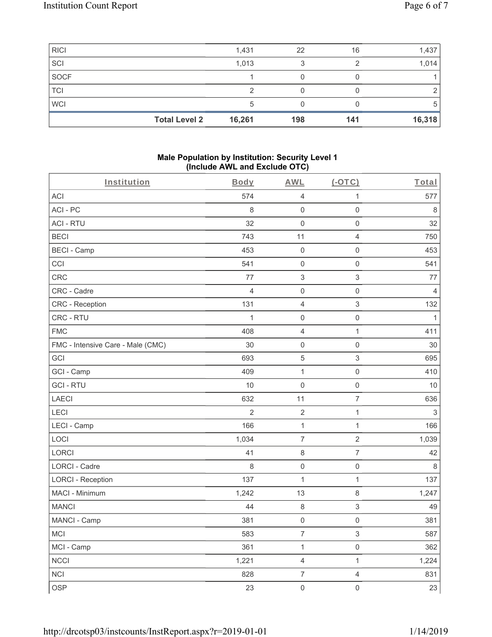| <b>RICI</b> |                      | 1,431  | 22  | 16  | 1,437  |
|-------------|----------------------|--------|-----|-----|--------|
| SCI         |                      | 1,013  |     |     | 1,014  |
| <b>SOCF</b> |                      |        |     |     |        |
| <b>TCI</b>  |                      |        |     |     |        |
| <b>WCI</b>  |                      | 5      |     |     |        |
|             | <b>Total Level 2</b> | 16,261 | 198 | 141 | 16,318 |

#### **Male Population by Institution: Security Level 1 (Include AWL and Exclude OTC)**

| Institution                       | Body           | <b>AWL</b>                | $(-OTC)$         | Total        |
|-----------------------------------|----------------|---------------------------|------------------|--------------|
| <b>ACI</b>                        | 574            | $\sqrt{4}$                | 1                | 577          |
| ACI-PC                            | 8              | $\mathbf 0$               | $\mathbf 0$      | $\,8\,$      |
| <b>ACI - RTU</b>                  | 32             | $\mathbf 0$               | $\mathbf 0$      | 32           |
| <b>BECI</b>                       | 743            | 11                        | $\overline{4}$   | 750          |
| <b>BECI - Camp</b>                | 453            | $\mathbf 0$               | $\mathbf 0$      | 453          |
| CCI                               | 541            | $\mathsf{O}\xspace$       | $\mathbf 0$      | 541          |
| CRC                               | 77             | $\ensuremath{\mathsf{3}}$ | 3                | 77           |
| CRC - Cadre                       | 4              | $\mathbf 0$               | $\mathbf 0$      | 4            |
| CRC - Reception                   | 131            | $\sqrt{4}$                | 3                | 132          |
| CRC - RTU                         | 1              | $\mathsf{O}\xspace$       | $\mathbf 0$      | $\mathbf{1}$ |
| <b>FMC</b>                        | 408            | $\sqrt{4}$                | $\mathbf{1}$     | 411          |
| FMC - Intensive Care - Male (CMC) | 30             | $\mathbf 0$               | $\mathbf 0$      | 30           |
| GCI                               | 693            | 5                         | $\mathfrak{S}$   | 695          |
| GCI - Camp                        | 409            | $\mathbf{1}$              | $\mathbf 0$      | 410          |
| <b>GCI-RTU</b>                    | 10             | $\mathbf 0$               | $\mathbf 0$      | 10           |
| LAECI                             | 632            | 11                        | $\overline{7}$   | 636          |
| LECI                              | $\overline{2}$ | $\mathbf 2$               | $\mathbf 1$      | 3            |
| LECI - Camp                       | 166            | $\mathbf{1}$              | $\mathbf 1$      | 166          |
| LOCI                              | 1,034          | $\overline{7}$            | $\overline{2}$   | 1,039        |
| LORCI                             | 41             | $\,8\,$                   | $\overline{7}$   | 42           |
| LORCI - Cadre                     | 8              | $\mathsf{O}\xspace$       | $\boldsymbol{0}$ | 8            |
| <b>LORCI - Reception</b>          | 137            | $\mathbf{1}$              | $\mathbf{1}$     | 137          |
| MACI - Minimum                    | 1,242          | 13                        | $\,8\,$          | 1,247        |
| <b>MANCI</b>                      | 44             | 8                         | 3                | 49           |
| MANCI - Camp                      | 381            | $\mathsf{O}\xspace$       | $\mathbf 0$      | 381          |
| MCI                               | 583            | $\overline{7}$            | 3                | 587          |
| MCI - Camp                        | 361            | $\mathbf 1$               | $\mathbf 0$      | 362          |
| <b>NCCI</b>                       | 1,221          | $\overline{4}$            | $\mathbf 1$      | 1,224        |
| NCI                               | 828            | $\overline{7}$            | $\overline{4}$   | 831          |
| <b>OSP</b>                        | 23             | $\mathsf 0$               | $\mathbf 0$      | 23           |